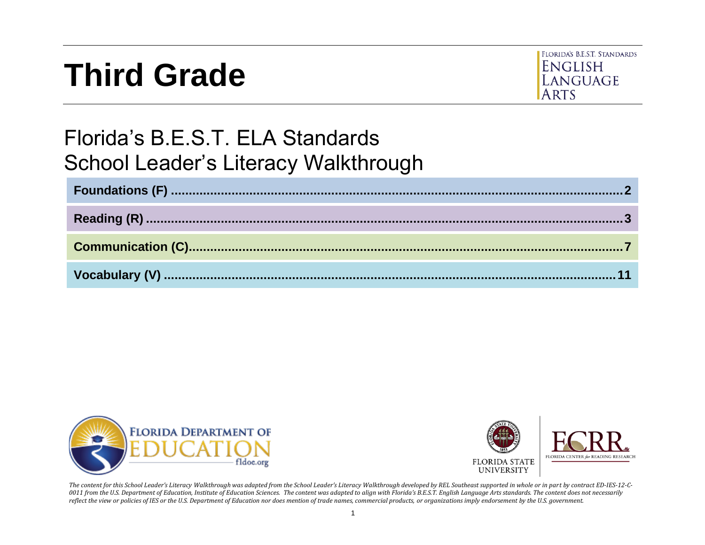# **Third Grade**



# Florida's B.E.S.T. ELA Standards School Leader's Literacy Walkthrough





*The content for this School Leader's Literacy Walkthrough was adapted from the School Leader's Literacy Walkthrough developed by REL Southeast supported in whole or in part by contract ED-IES-12-C-0011 from the U.S. Department of Education, Institute of Education Sciences. The content was adapted to align with Florida's B.E.S.T. English Language Arts standards. The content does not necessarily reflect the view or policies of IES or the U.S. Department of Education nor does mention of trade names, commercial products, or organizations imply endorsement by the U.S. government.*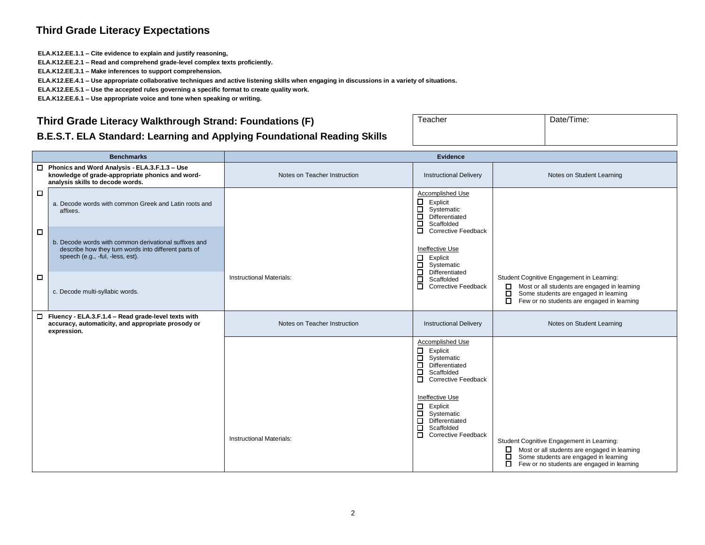#### **Third Grade Literacy Expectations**

**ELA.K12.EE.1.1 – Cite evidence to explain and justify reasoning,**

**ELA.K12.EE.2.1 – Read and comprehend grade-level complex texts proficiently.**

**ELA.K12.EE.3.1 – Make inferences to support comprehension.**

**ELA.K12.EE.4.1 – Use appropriate collaborative techniques and active listening skills when engaging in discussions in a variety of situations.**

**ELA.K12.EE.5.1 – Use the accepted rules governing a specific format to create quality work.**

**ELA.K12.EE.6.1 – Use appropriate voice and tone when speaking or writing.**

#### <span id="page-1-0"></span>**Third Grade Literacy Walkthrough Strand: Foundations (F)**

| Teacher | Date/Time: |
|---------|------------|
|         |            |
|         |            |

#### **B.E.S.T. ELA Standard: Learning and Applying Foundational Reading Skills**

|   | <b>Benchmarks</b>                                                                                                                                 | <b>Evidence</b>                 |                                                                                                                                                                                                                                                                                                                 |                                                                                                                                                                                                 |
|---|---------------------------------------------------------------------------------------------------------------------------------------------------|---------------------------------|-----------------------------------------------------------------------------------------------------------------------------------------------------------------------------------------------------------------------------------------------------------------------------------------------------------------|-------------------------------------------------------------------------------------------------------------------------------------------------------------------------------------------------|
|   | $\Box$ Phonics and Word Analysis - ELA.3.F.1.3 - Use<br>knowledge of grade-appropriate phonics and word-<br>analysis skills to decode words.      | Notes on Teacher Instruction    | <b>Instructional Delivery</b>                                                                                                                                                                                                                                                                                   | Notes on Student Learning                                                                                                                                                                       |
| □ | a. Decode words with common Greek and Latin roots and<br>affixes.                                                                                 |                                 | Accomplished Use<br>$\Box$<br>Explicit<br>$\Box$<br>Systematic<br>$\Box$<br>Differentiated<br>$\Box$<br>Scaffolded                                                                                                                                                                                              |                                                                                                                                                                                                 |
| □ | b. Decode words with common derivational suffixes and<br>describe how they turn words into different parts of<br>speech (e.g., -ful, -less, est). |                                 | $\Box$<br><b>Corrective Feedback</b><br>Ineffective Use<br>$\Box$<br>Explicit<br>$\Box$<br>Systematic<br>$\Box$<br>Differentiated                                                                                                                                                                               |                                                                                                                                                                                                 |
| □ | c. Decode multi-syllabic words.                                                                                                                   | <b>Instructional Materials:</b> | □<br>Scaffolded<br>$\Box$<br><b>Corrective Feedback</b>                                                                                                                                                                                                                                                         | Student Cognitive Engagement in Learning:<br>Most or all students are engaged in learning<br>0<br>□<br>Some students are engaged in learning<br>Few or no students are engaged in learning<br>□ |
|   | □ Fluency - ELA.3.F.1.4 - Read grade-level texts with<br>accuracy, automaticity, and appropriate prosody or<br>expression.                        | Notes on Teacher Instruction    | <b>Instructional Delivery</b>                                                                                                                                                                                                                                                                                   | Notes on Student Learning                                                                                                                                                                       |
|   |                                                                                                                                                   | <b>Instructional Materials:</b> | Accomplished Use<br>$\Box$<br>Explicit<br>$\Box$<br>Systematic<br>$\Box$<br>Differentiated<br>$\Box$<br>Scaffolded<br>$\Box$<br><b>Corrective Feedback</b><br>Ineffective Use<br>$\Box$ Explicit<br>$\Box$<br>Systematic<br>$\Box$<br>Differentiated<br>$\Box$<br>Scaffolded<br>□<br><b>Corrective Feedback</b> | Student Cognitive Engagement in Learning:<br>Most or all students are engaged in learning<br>□<br>Some students are engaged in learning<br>Few or no students are engaged in learning<br>0      |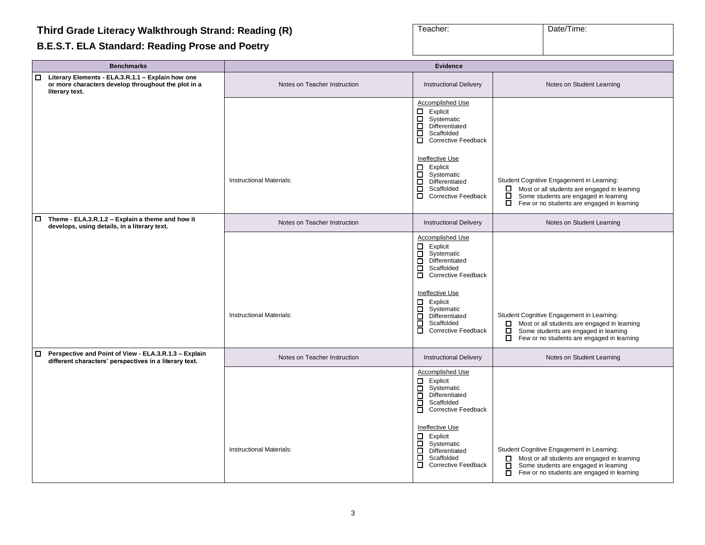#### <span id="page-2-0"></span>**Third Grade Literacy Walkthrough Strand: Reading (R)**

#### **B.E.S.T. ELA Standard: Reading Prose and Poetry**

| Teacher: | Date/Time: |
|----------|------------|
|          |            |

| <b>Benchmarks</b>                                                                                                                    | <b>Evidence</b>                 |                                                                                                                                                                                                                                                                                                          |                                                                                                                                                                                                           |
|--------------------------------------------------------------------------------------------------------------------------------------|---------------------------------|----------------------------------------------------------------------------------------------------------------------------------------------------------------------------------------------------------------------------------------------------------------------------------------------------------|-----------------------------------------------------------------------------------------------------------------------------------------------------------------------------------------------------------|
| Literary Elements - ELA.3.R.1.1 - Explain how one<br>$\Box$<br>or more characters develop throughout the plot in a<br>literary text. | Notes on Teacher Instruction    | <b>Instructional Delivery</b>                                                                                                                                                                                                                                                                            | Notes on Student Learning                                                                                                                                                                                 |
|                                                                                                                                      |                                 | <b>Accomplished Use</b><br>$\Box$<br>Explicit<br>Systematic<br>ō<br>Differentiated<br>О.<br>Scaffolded<br><b>Corrective Feedback</b>                                                                                                                                                                     |                                                                                                                                                                                                           |
|                                                                                                                                      | Instructional Materials:        | Ineffective Use<br>Explicit<br>□<br>Systematic<br>$\Box$<br>Differentiated<br>$\Box$<br>Scaffolded<br>О.<br><b>Corrective Feedback</b>                                                                                                                                                                   | Student Cognitive Engagement in Learning:<br>Most or all students are engaged in learning<br>$\Box$<br>Some students are engaged in learning<br>$\Box$<br>Few or no students are engaged in learning      |
| Theme - ELA.3.R.1.2 - Explain a theme and how it<br>develops, using details, in a literary text.                                     | Notes on Teacher Instruction    | <b>Instructional Delivery</b>                                                                                                                                                                                                                                                                            | Notes on Student Learning                                                                                                                                                                                 |
|                                                                                                                                      | <b>Instructional Materials:</b> | Accomplished Use<br>$\Box$ Explicit<br>Systematic<br>$\Box$<br>ō<br>Differentiated<br>$\Box$<br>Scaffolded<br>$\Box$<br><b>Corrective Feedback</b><br>Ineffective Use<br>$\Box$<br>Explicit<br>□<br>Systematic<br>$\Box$<br>Differentiated<br>$\Box$<br>Scaffolded<br>П.<br><b>Corrective Feedback</b>   | Student Cognitive Engagement in Learning:<br>Most or all students are engaged in learning<br>0<br>Some students are engaged in learning<br>$\Box$<br>Few or no students are engaged in learning<br>$\Box$ |
| Perspective and Point of View - ELA.3.R.1.3 - Explain<br>$\Box$<br>different characters' perspectives in a literary text.            | Notes on Teacher Instruction    | <b>Instructional Delivery</b>                                                                                                                                                                                                                                                                            | Notes on Student Learning                                                                                                                                                                                 |
|                                                                                                                                      | <b>Instructional Materials:</b> | <b>Accomplished Use</b><br>$\Box$<br>Explicit<br>Systematic<br>П.<br>$\Box$<br>Differentiated<br>0<br>Scaffolded<br>0<br><b>Corrective Feedback</b><br>Ineffective Use<br>П.<br>Explicit<br>$\Box$<br>Systematic<br>$\Box$<br>Differentiated<br>$\Box$<br>Scaffolded<br>О.<br><b>Corrective Feedback</b> | Student Cognitive Engagement in Learning:<br>Most or all students are engaged in learning<br>□<br>Some students are engaged in learning<br>□                                                              |
|                                                                                                                                      |                                 |                                                                                                                                                                                                                                                                                                          | Few or no students are engaged in learning<br>$\Box$                                                                                                                                                      |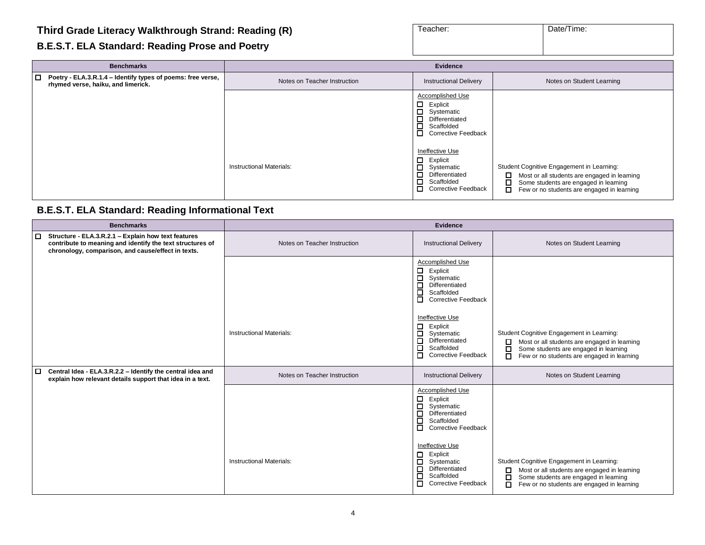#### **Third Grade Literacy Walkthrough Strand: Reading (R)**

#### **B.E.S.T. ELA Standard: Reading Prose and Poetry**

| Teacher: | Date/Time: |  |
|----------|------------|--|
|          |            |  |

|        | <b>Benchmarks</b>                                                                                 | <b>Evidence</b>                 |                                                                                                                                   |                                                                                                                                                                                                 |
|--------|---------------------------------------------------------------------------------------------------|---------------------------------|-----------------------------------------------------------------------------------------------------------------------------------|-------------------------------------------------------------------------------------------------------------------------------------------------------------------------------------------------|
| $\Box$ | Poetry - ELA.3.R.1.4 – Identify types of poems: free verse,<br>rhymed verse, haiku, and limerick. | Notes on Teacher Instruction    | <b>Instructional Delivery</b>                                                                                                     | Notes on Student Learning                                                                                                                                                                       |
|        |                                                                                                   |                                 | Accomplished Use<br>O<br>Explicit<br>□<br>Systematic<br>囗<br>Differentiated<br>口<br>Scaffolded<br>□<br><b>Corrective Feedback</b> |                                                                                                                                                                                                 |
|        |                                                                                                   | <b>Instructional Materials:</b> | Ineffective Use<br>0<br>Explicit<br>◻<br>Systematic<br>□<br>Differentiated<br>◻<br>Scaffolded<br>□<br><b>Corrective Feedback</b>  | Student Cognitive Engagement in Learning:<br>□<br>Most or all students are engaged in learning<br>□<br>Some students are engaged in learning<br>□<br>Few or no students are engaged in learning |

#### **B.E.S.T. ELA Standard: Reading Informational Text**

| <b>Benchmarks</b>                                                                                                                                                           | <b>Evidence</b>                 |                                                                                                                                          |                                                                                                                                                                                                 |
|-----------------------------------------------------------------------------------------------------------------------------------------------------------------------------|---------------------------------|------------------------------------------------------------------------------------------------------------------------------------------|-------------------------------------------------------------------------------------------------------------------------------------------------------------------------------------------------|
| □<br>Structure - ELA.3.R.2.1 - Explain how text features<br>contribute to meaning and identify the text structures of<br>chronology, comparison, and cause/effect in texts. | Notes on Teacher Instruction    | <b>Instructional Delivery</b>                                                                                                            | Notes on Student Learning                                                                                                                                                                       |
|                                                                                                                                                                             |                                 | Accomplished Use<br>$\Box$ Explicit<br>Systematic<br>□<br>□<br>Differentiated<br>□<br>Scaffolded<br>П<br><b>Corrective Feedback</b>      |                                                                                                                                                                                                 |
|                                                                                                                                                                             | <b>Instructional Materials:</b> | Ineffective Use<br>Explicit<br>□<br>Systematic<br>□<br>Differentiated<br>□<br>Scaffolded<br>□<br><b>Corrective Feedback</b><br>п         | Student Cognitive Engagement in Learning:<br>Most or all students are engaged in learning<br>□<br>Some students are engaged in learning<br>п<br>Few or no students are engaged in learning      |
| $\Box$<br>Central Idea - ELA.3.R.2.2 - Identify the central idea and<br>explain how relevant details support that idea in a text.                                           | Notes on Teacher Instruction    | <b>Instructional Delivery</b>                                                                                                            | Notes on Student Learning                                                                                                                                                                       |
|                                                                                                                                                                             |                                 | <b>Accomplished Use</b><br>Explicit<br>□<br>Systematic<br>◻<br>Differentiated<br>$\Box$<br>Scaffolded<br>◻<br><b>Corrective Feedback</b> |                                                                                                                                                                                                 |
|                                                                                                                                                                             | <b>Instructional Materials:</b> | Ineffective Use<br>□<br>Explicit<br>□<br>Systematic<br>◻<br>Differentiated<br>□<br>Scaffolded<br><b>Corrective Feedback</b><br>П         | Student Cognitive Engagement in Learning:<br>Most or all students are engaged in learning<br>□<br>□<br>Some students are engaged in learning<br>Few or no students are engaged in learning<br>п |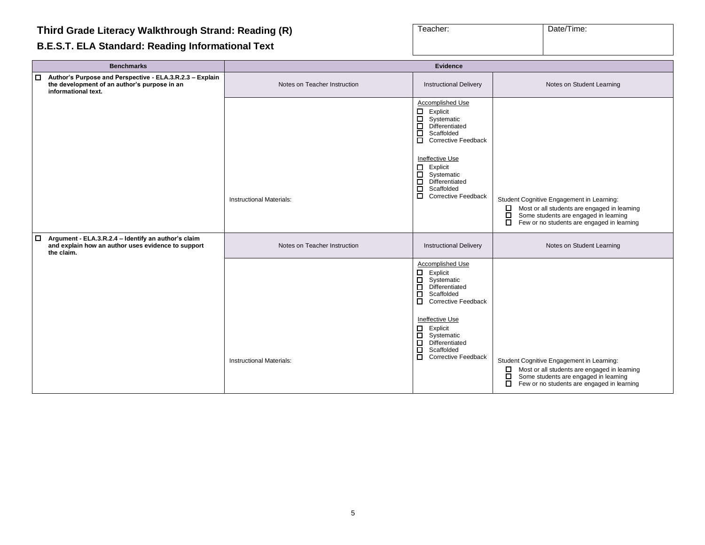# **B.E.S.T. ELA Standard: Reading Informational Text**

| Teacher: | Date/Time: |
|----------|------------|
|          |            |

|        | <b>Benchmarks</b>                                                                                                               | Evidence                        |                                                                                                                                                                                                                                                                                                              |                                                                                                                                                                                                      |
|--------|---------------------------------------------------------------------------------------------------------------------------------|---------------------------------|--------------------------------------------------------------------------------------------------------------------------------------------------------------------------------------------------------------------------------------------------------------------------------------------------------------|------------------------------------------------------------------------------------------------------------------------------------------------------------------------------------------------------|
| $\Box$ | Author's Purpose and Perspective - ELA.3.R.2.3 - Explain<br>the development of an author's purpose in an<br>informational text. | Notes on Teacher Instruction    | <b>Instructional Delivery</b>                                                                                                                                                                                                                                                                                | Notes on Student Learning                                                                                                                                                                            |
|        |                                                                                                                                 | <b>Instructional Materials:</b> | Accomplished Use<br>$\Box$ Explicit<br>Systematic<br>$\Box$ Differentiated<br>$\Box$<br>Scaffolded<br>Corrective Feedback<br>Ineffective Use<br>$\Box$ Explicit<br>$\overline{\Box}$ Systematic<br>$\Box$<br>Differentiated<br>$\Box$<br>Scaffolded<br>$\Box$<br><b>Corrective Feedback</b>                  | Student Cognitive Engagement in Learning:<br>$\Box$<br>Most or all students are engaged in learning<br>□<br>Some students are engaged in learning<br>□<br>Few or no students are engaged in learning |
| $\Box$ | Argument - ELA.3.R.2.4 - Identify an author's claim<br>and explain how an author uses evidence to support<br>the claim.         | Notes on Teacher Instruction    | <b>Instructional Delivery</b>                                                                                                                                                                                                                                                                                | Notes on Student Learning                                                                                                                                                                            |
|        |                                                                                                                                 | <b>Instructional Materials:</b> | <b>Accomplished Use</b><br>$\Box$<br>Explicit<br>$\Box$<br>Systematic<br>Differentiated<br>$\Box$<br>$\Box$<br>Scaffolded<br>$\Box$<br><b>Corrective Feedback</b><br>Ineffective Use<br>$\Box$ Explicit<br>Systematic<br>$\Box$<br>Differentiated<br>$\Box$<br>Scaffolded<br>□<br><b>Corrective Feedback</b> | Student Cognitive Engagement in Learning:<br>Most or all students are engaged in learning<br>$\Box$<br>□<br>Some students are engaged in learning<br>□<br>Few or no students are engaged in learning |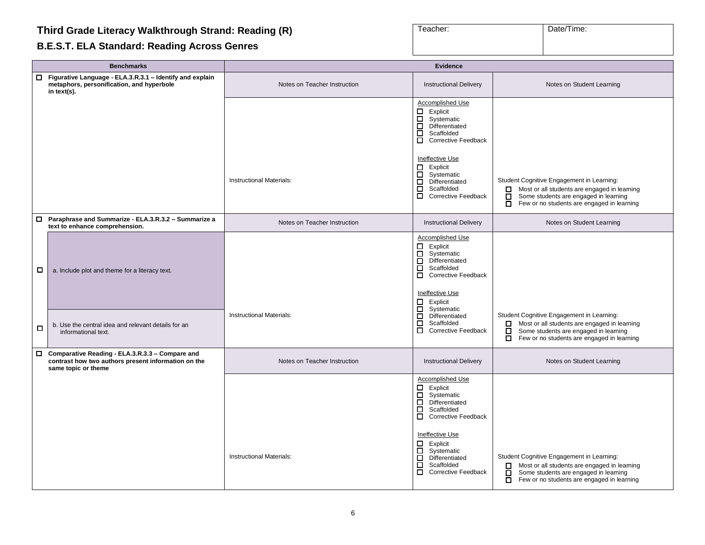#### **Third Grade Literacy Walkthrough Strand: Reading (R)**

#### **B.E.S.T. ELA Standard: Reading Across Genres**

| Teacher: | Date/Time: |
|----------|------------|
|          |            |

| <b>Benchmarks</b>                                                                                                                      |                                 | <b>Evidence</b>                                                                                                                                                                                                                                                                                                |                                                                                                                                                                                                           |
|----------------------------------------------------------------------------------------------------------------------------------------|---------------------------------|----------------------------------------------------------------------------------------------------------------------------------------------------------------------------------------------------------------------------------------------------------------------------------------------------------------|-----------------------------------------------------------------------------------------------------------------------------------------------------------------------------------------------------------|
| $\Box$ Figurative Language - ELA.3.R.3.1 - Identify and explain<br>metaphors, personification, and hyperbole<br>in text(s).            | Notes on Teacher Instruction    | <b>Instructional Delivery</b>                                                                                                                                                                                                                                                                                  | Notes on Student Learning                                                                                                                                                                                 |
|                                                                                                                                        |                                 | Accomplished Use<br>$\Box$<br>Explicit<br>$\Box$<br>Systematic<br>$\Box$<br>Differentiated<br>$\Box$<br>Scaffolded<br>0<br><b>Corrective Feedback</b>                                                                                                                                                          |                                                                                                                                                                                                           |
|                                                                                                                                        | <b>Instructional Materials:</b> | Ineffective Use<br>$\Box$<br>Explicit<br>$\Box$<br>Systematic<br>Differentiated<br>$\Box$<br>$\Box$<br>Scaffolded<br>Corrective Feedback                                                                                                                                                                       | Student Cognitive Engagement in Learning:<br>Most or all students are engaged in learning<br>□<br>ō<br>Some students are engaged in learning<br>Few or no students are engaged in learning                |
| $\Box$ Paraphrase and Summarize - ELA.3.R.3.2 - Summarize a<br>text to enhance comprehension.                                          | Notes on Teacher Instruction    | <b>Instructional Delivery</b>                                                                                                                                                                                                                                                                                  | Notes on Student Learning                                                                                                                                                                                 |
| □<br>a. Include plot and theme for a literacy text.<br>b. Use the central idea and relevant details for an<br>□<br>informational text. | <b>Instructional Materials:</b> | Accomplished Use<br>0<br>Explicit<br>$\Box$<br>Systematic<br>$\Box$<br>Differentiated<br>$\Box$<br>Scaffolded<br>Corrective Feedback<br>Ineffective Use<br>$\Box$<br>Explicit<br>$\Box$<br>Systematic<br>$\Box$<br>Differentiated<br>□<br>Scaffolded<br>$\Box$<br><b>Corrective Feedback</b>                   | Student Cognitive Engagement in Learning:<br>Most or all students are engaged in learning<br>□<br>$\Box$<br>Some students are engaged in learning<br>$\Box$<br>Few or no students are engaged in learning |
| □ Comparative Reading - ELA.3.R.3.3 - Compare and<br>contrast how two authors present information on the<br>same topic or theme        | Notes on Teacher Instruction    | <b>Instructional Delivery</b>                                                                                                                                                                                                                                                                                  | Notes on Student Learning                                                                                                                                                                                 |
|                                                                                                                                        | Instructional Materials:        | Accomplished Use<br>О.<br>Explicit<br>$\Box$<br>Systematic<br>$\Box$<br>Differentiated<br>$\Box$<br>Scaffolded<br>0<br><b>Corrective Feedback</b><br>Ineffective Use<br>$\Box$<br>Explicit<br>$\Box$<br>Systematic<br>$\Box$<br>Differentiated<br>$\Box$<br>Scaffolded<br>$\Box$<br><b>Corrective Feedback</b> | Student Cognitive Engagement in Learning:<br>Most or all students are engaged in learning<br>□<br>Some students are engaged in learning<br>Few or no students are engaged in learning                     |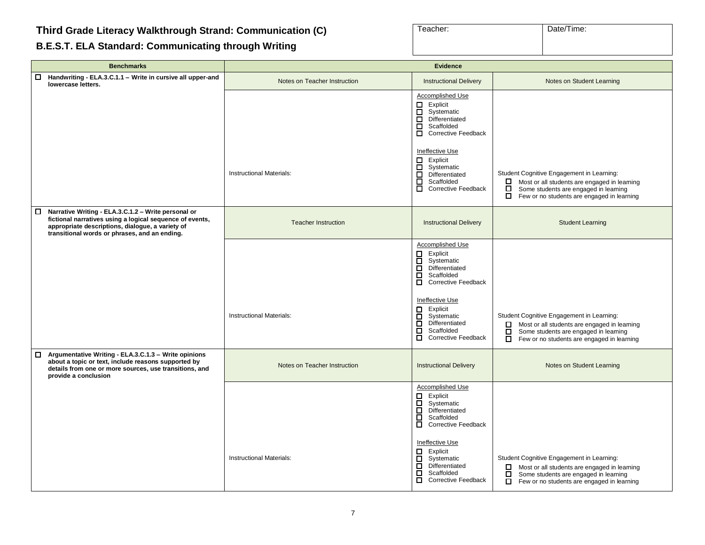#### <span id="page-6-0"></span>**B.E.S.T. ELA Standard: Communicating through Writing**

| Teacher: | Date/Time: |
|----------|------------|
|          |            |

| <b>Benchmarks</b>                                                                                                                                                                                                              | <b>Evidence</b>                 |                                                                                                                                                                                                                                                                                        |                                                                                                                                                                                                                    |
|--------------------------------------------------------------------------------------------------------------------------------------------------------------------------------------------------------------------------------|---------------------------------|----------------------------------------------------------------------------------------------------------------------------------------------------------------------------------------------------------------------------------------------------------------------------------------|--------------------------------------------------------------------------------------------------------------------------------------------------------------------------------------------------------------------|
| $\Box$<br>Handwriting - ELA.3.C.1.1 - Write in cursive all upper-and<br>lowercase letters.                                                                                                                                     | Notes on Teacher Instruction    | <b>Instructional Delivery</b>                                                                                                                                                                                                                                                          | Notes on Student Learning                                                                                                                                                                                          |
|                                                                                                                                                                                                                                |                                 | Accomplished Use<br>$\Box$ Explicit<br>Systematic<br>□<br>$\Box$<br>Differentiated<br>П<br>Scaffolded<br>Corrective Feedback                                                                                                                                                           |                                                                                                                                                                                                                    |
|                                                                                                                                                                                                                                | <b>Instructional Materials:</b> | Ineffective Use<br>$\Box$ Explicit<br>П<br>Systematic<br>П.<br>Differentiated<br>П<br>Scaffolded<br>$\Box$<br><b>Corrective Feedback</b>                                                                                                                                               | Student Cognitive Engagement in Learning:<br>Most or all students are engaged in learning<br>0<br>П<br>Some students are engaged in learning<br>$\overline{\square}$<br>Few or no students are engaged in learning |
| $\Box$<br>Narrative Writing - ELA.3.C.1.2 - Write personal or<br>fictional narratives using a logical sequence of events,<br>appropriate descriptions, dialogue, a variety of<br>transitional words or phrases, and an ending. | <b>Teacher Instruction</b>      | <b>Instructional Delivery</b>                                                                                                                                                                                                                                                          | <b>Student Learning</b>                                                                                                                                                                                            |
|                                                                                                                                                                                                                                | <b>Instructional Materials:</b> | Accomplished Use<br>Explicit<br>8<br>8<br>Systematic<br>Differentiated<br>ō<br>Scaffolded<br>$\Box$<br><b>Corrective Feedback</b><br>Ineffective Use<br>$\Box$ Explicit<br>$\Box$<br>Systematic<br>ō<br>Differentiated<br>$\Box$<br>Scaffolded<br>$\Box$<br><b>Corrective Feedback</b> | Student Cognitive Engagement in Learning:<br>Most or all students are engaged in learning<br>□<br>$\Box$<br>Some students are engaged in learning<br>$\Box$<br>Few or no students are engaged in learning          |
| Argumentative Writing - ELA.3.C.1.3 - Write opinions<br>$\Box$<br>about a topic or text, include reasons supported by<br>details from one or more sources, use transitions, and<br>provide a conclusion                        | Notes on Teacher Instruction    | <b>Instructional Delivery</b>                                                                                                                                                                                                                                                          | Notes on Student Learning                                                                                                                                                                                          |
|                                                                                                                                                                                                                                |                                 | Accomplished Use<br>Explicit<br>□<br>口<br>Systematic<br>$\Box$<br>Differentiated<br>$\Box$<br>Scaffolded<br>П<br><b>Corrective Feedback</b>                                                                                                                                            |                                                                                                                                                                                                                    |
|                                                                                                                                                                                                                                | Instructional Materials:        | Ineffective Use<br>Explicit<br>□<br>□<br>Systematic<br>ō<br>Differentiated<br>$\Box$<br>Scaffolded<br>$\Box$<br><b>Corrective Feedback</b>                                                                                                                                             | Student Cognitive Engagement in Learning:<br>Most or all students are engaged in learning<br>0.<br>Some students are engaged in learning<br>0<br>$\Box$ Few or no students are engaged in learning                 |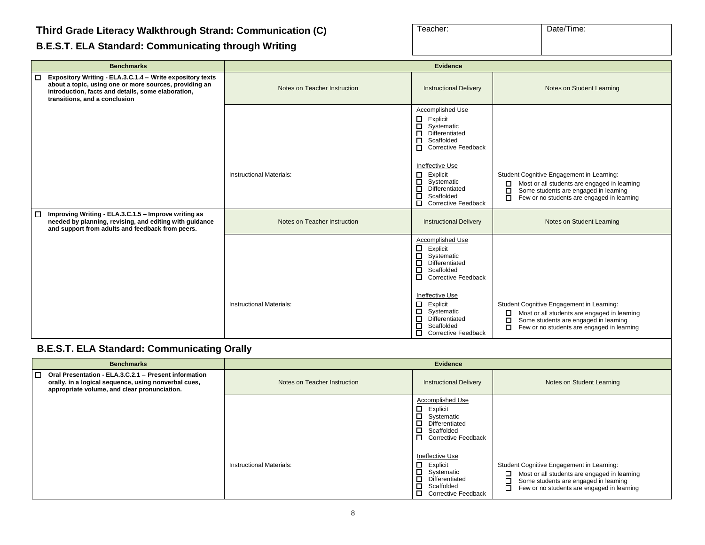#### **B.E.S.T. ELA Standard: Communicating through Writing**

| Teacher: | Date/Time: |
|----------|------------|
|          |            |

| <b>Benchmarks</b>                                                                                                                                                                                                    |                                 | Evidence                                                                                                                                                       |                                                                                                                                                                                                      |
|----------------------------------------------------------------------------------------------------------------------------------------------------------------------------------------------------------------------|---------------------------------|----------------------------------------------------------------------------------------------------------------------------------------------------------------|------------------------------------------------------------------------------------------------------------------------------------------------------------------------------------------------------|
| $\Box$<br>Expository Writing - ELA.3.C.1.4 - Write expository texts<br>about a topic, using one or more sources, providing an<br>introduction, facts and details, some elaboration,<br>transitions, and a conclusion | Notes on Teacher Instruction    | <b>Instructional Delivery</b>                                                                                                                                  | Notes on Student Learning                                                                                                                                                                            |
|                                                                                                                                                                                                                      |                                 | Accomplished Use<br>$\Box$<br>Explicit<br>□<br>Systematic<br>□<br>Differentiated<br>□<br>Scaffolded<br>□<br><b>Corrective Feedback</b>                         |                                                                                                                                                                                                      |
|                                                                                                                                                                                                                      | <b>Instructional Materials:</b> | Ineffective Use<br>□<br>Explicit<br>□<br>Systematic<br>о<br>Differentiated<br>Scaffolded<br>口<br>п<br><b>Corrective Feedback</b>                               | Student Cognitive Engagement in Learning:<br>Most or all students are engaged in learning<br>□<br>$\Box$<br>Some students are engaged in learning<br>□<br>Few or no students are engaged in learning |
| □<br>Improving Writing - ELA.3.C.1.5 - Improve writing as<br>needed by planning, revising, and editing with guidance<br>and support from adults and feedback from peers.                                             | Notes on Teacher Instruction    | <b>Instructional Delivery</b>                                                                                                                                  | Notes on Student Learning                                                                                                                                                                            |
|                                                                                                                                                                                                                      |                                 | Accomplished Use<br>□<br>Explicit<br>▣<br>Systematic<br>□<br>Differentiated<br>$\Box$<br>Scaffolded<br>$\Box$<br><b>Corrective Feedback</b><br>Ineffective Use |                                                                                                                                                                                                      |
|                                                                                                                                                                                                                      | <b>Instructional Materials:</b> | □<br>Explicit<br>$\Box$<br>Systematic<br>$\overline{\mathsf{L}}$<br>Differentiated<br>Scaffolded<br>$\Box$<br><b>Corrective Feedback</b>                       | Student Cognitive Engagement in Learning:<br>Most or all students are engaged in learning<br>□<br>□<br>Some students are engaged in learning<br>□<br>Few or no students are engaged in learning      |

# **B.E.S.T. ELA Standard: Communicating Orally**

| <b>Benchmarks</b>                                                                                                                                                       | Evidence                        |                                                                                                                                                       |                                                                                                                                                                                                      |
|-------------------------------------------------------------------------------------------------------------------------------------------------------------------------|---------------------------------|-------------------------------------------------------------------------------------------------------------------------------------------------------|------------------------------------------------------------------------------------------------------------------------------------------------------------------------------------------------------|
| $\Box$<br>Oral Presentation - ELA.3.C.2.1 - Present information<br>orally, in a logical sequence, using nonverbal cues,<br>appropriate volume, and clear pronunciation. | Notes on Teacher Instruction    | <b>Instructional Delivery</b>                                                                                                                         | Notes on Student Learning                                                                                                                                                                            |
|                                                                                                                                                                         |                                 | Accomplished Use<br>□<br>Explicit<br>$\Box$<br>Systematic<br>$\Box$<br>Differentiated<br>$\Box$<br>Scaffolded<br>$\Box$<br><b>Corrective Feedback</b> |                                                                                                                                                                                                      |
|                                                                                                                                                                         | <b>Instructional Materials:</b> | Ineffective Use<br>$\Box$<br>Explicit<br>$\Box$<br>Systematic<br>$\Box$<br>Differentiated<br>$\Box$<br>Scaffolded<br>□<br><b>Corrective Feedback</b>  | Student Cognitive Engagement in Learning:<br>□<br>Most or all students are engaged in learning<br>$\Box$<br>Some students are engaged in learning<br>□<br>Few or no students are engaged in learning |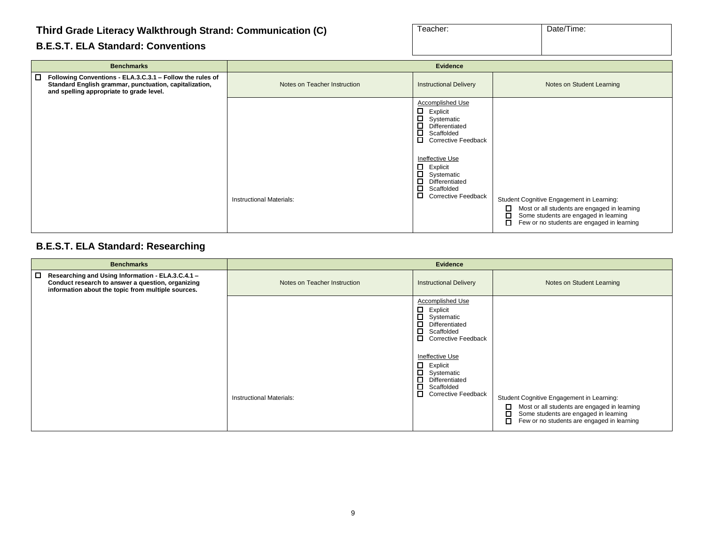| Teacher: | Date/Time: |
|----------|------------|
|          |            |
|          |            |

#### **B.E.S.T. ELA Standard: Conventions**

| <b>Benchmarks</b>                                                                                                                                                 |                                 | Evidence                                                                                                                                                                                                                                                                                                |                                                                                                                                                                                                      |
|-------------------------------------------------------------------------------------------------------------------------------------------------------------------|---------------------------------|---------------------------------------------------------------------------------------------------------------------------------------------------------------------------------------------------------------------------------------------------------------------------------------------------------|------------------------------------------------------------------------------------------------------------------------------------------------------------------------------------------------------|
| □ Following Conventions - ELA.3.C.3.1 - Follow the rules of<br>Standard English grammar, punctuation, capitalization,<br>and spelling appropriate to grade level. | Notes on Teacher Instruction    | <b>Instructional Delivery</b>                                                                                                                                                                                                                                                                           | Notes on Student Learning                                                                                                                                                                            |
|                                                                                                                                                                   | <b>Instructional Materials:</b> | <b>Accomplished Use</b><br>□<br>Explicit<br>$\Box$<br>Systematic<br>$\Box$<br>Differentiated<br>□<br>Scaffolded<br>□<br><b>Corrective Feedback</b><br><b>Ineffective Use</b><br>$\Box$<br>Explicit<br>$\Box$<br>Systematic<br>□<br>Differentiated<br>о<br>Scaffolded<br>П<br><b>Corrective Feedback</b> | Student Cognitive Engagement in Learning:<br>□<br>Most or all students are engaged in learning<br>$\Box$<br>Some students are engaged in learning<br>□<br>Few or no students are engaged in learning |

#### **B.E.S.T. ELA Standard: Researching**

| <b>Benchmarks</b>                                                                                                                                                 | <b>Evidence</b>                 |                                                                                                                                                                                                                                                                        |                                                                                                                                                                                                 |
|-------------------------------------------------------------------------------------------------------------------------------------------------------------------|---------------------------------|------------------------------------------------------------------------------------------------------------------------------------------------------------------------------------------------------------------------------------------------------------------------|-------------------------------------------------------------------------------------------------------------------------------------------------------------------------------------------------|
| □<br>Researching and Using Information - ELA.3.C.4.1 -<br>Conduct research to answer a question, organizing<br>information about the topic from multiple sources. | Notes on Teacher Instruction    | <b>Instructional Delivery</b>                                                                                                                                                                                                                                          | Notes on Student Learning                                                                                                                                                                       |
|                                                                                                                                                                   | <b>Instructional Materials:</b> | Accomplished Use<br>□<br>Explicit<br>□<br>Systematic<br>□<br>Differentiated<br>□<br>Scaffolded<br>□<br><b>Corrective Feedback</b><br>Ineffective Use<br>Ο.<br>Explicit<br>$\Box$<br>Systematic<br>Differentiated<br>□<br>Scaffolded<br>П<br><b>Corrective Feedback</b> | Student Cognitive Engagement in Learning:<br>Most or all students are engaged in learning<br>□<br>◻<br>Some students are engaged in learning<br>◻<br>Few or no students are engaged in learning |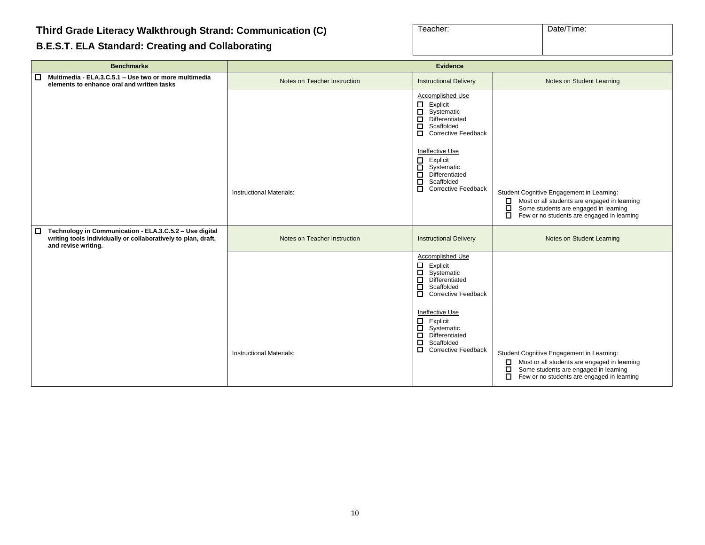### **B.E.S.T. ELA Standard: Creating and Collaborating**

| Teacher: | Date/Time: |
|----------|------------|
|          |            |
|          |            |

| <b>Benchmarks</b>                                                                                                                               |                                 | <b>Evidence</b>                                                                                                                                                                                                                                                                                                      |                                                                                                                                                                                                      |
|-------------------------------------------------------------------------------------------------------------------------------------------------|---------------------------------|----------------------------------------------------------------------------------------------------------------------------------------------------------------------------------------------------------------------------------------------------------------------------------------------------------------------|------------------------------------------------------------------------------------------------------------------------------------------------------------------------------------------------------|
| Multimedia - ELA.3.C.5.1 - Use two or more multimedia<br>□<br>elements to enhance oral and written tasks                                        | Notes on Teacher Instruction    | <b>Instructional Delivery</b>                                                                                                                                                                                                                                                                                        | Notes on Student Learning                                                                                                                                                                            |
|                                                                                                                                                 | <b>Instructional Materials:</b> | Accomplished Use<br>$\Box$<br>Explicit<br>$\Box$<br>Systematic<br>Differentiated<br>$\Box$<br>ō<br>Scaffolded<br>$\Box$<br><b>Corrective Feedback</b><br>Ineffective Use<br>Explicit<br>$\Box$<br>Systematic<br>$\Box$<br>$\Box$<br>Differentiated<br>ō<br>Scaffolded<br><b>Corrective Feedback</b><br>□             | Student Cognitive Engagement in Learning:<br>$\Box$<br>Most or all students are engaged in learning<br>о<br>Some students are engaged in learning<br>□<br>Few or no students are engaged in learning |
| Technology in Communication - ELA.3.C.5.2 - Use digital<br>writing tools individually or collaboratively to plan, draft,<br>and revise writing. | Notes on Teacher Instruction    | <b>Instructional Delivery</b>                                                                                                                                                                                                                                                                                        | Notes on Student Learning                                                                                                                                                                            |
|                                                                                                                                                 | <b>Instructional Materials:</b> | <b>Accomplished Use</b><br>$\Box$<br>Explicit<br>$\Box$<br>Systematic<br>$\Box$<br>Differentiated<br>Ō<br>Scaffolded<br>$\Box$<br><b>Corrective Feedback</b><br>Ineffective Use<br>$\Box$<br>Explicit<br>Systematic<br>$\Box$<br>$\Box$<br>Differentiated<br>$\Box$<br>Scaffolded<br>□<br><b>Corrective Feedback</b> | Student Cognitive Engagement in Learning:<br>$\Box$<br>Most or all students are engaged in learning<br>□<br>Some students are engaged in learning<br>□<br>Few or no students are engaged in learning |